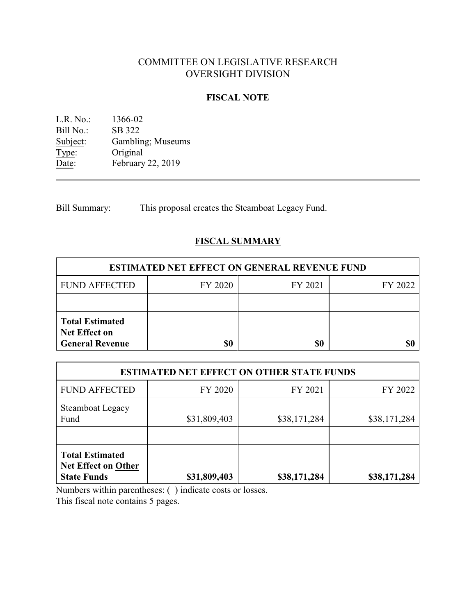# COMMITTEE ON LEGISLATIVE RESEARCH OVERSIGHT DIVISION

#### **FISCAL NOTE**

L.R. No.: 1366-02 Bill No.: SB 322<br>Subject: Gamblin Subject: Gambling; Museums<br>Type: Original Type: Original<br>Date: February February 22, 2019

Bill Summary: This proposal creates the Steamboat Legacy Fund.

## **FISCAL SUMMARY**

| <b>ESTIMATED NET EFFECT ON GENERAL REVENUE FUND</b>                      |         |         |         |  |
|--------------------------------------------------------------------------|---------|---------|---------|--|
| <b>FUND AFFECTED</b>                                                     | FY 2020 | FY 2021 | FY 2022 |  |
|                                                                          |         |         |         |  |
| <b>Total Estimated</b><br><b>Net Effect on</b><br><b>General Revenue</b> | \$0     | \$0     |         |  |

| <b>ESTIMATED NET EFFECT ON OTHER STATE FUNDS</b>                           |              |              |              |
|----------------------------------------------------------------------------|--------------|--------------|--------------|
| <b>FUND AFFECTED</b>                                                       | FY 2020      | FY 2021      | FY 2022      |
| <b>Steamboat Legacy</b><br>Fund                                            | \$31,809,403 | \$38,171,284 | \$38,171,284 |
| <b>Total Estimated</b><br><b>Net Effect on Other</b><br><b>State Funds</b> | \$31,809,403 | \$38,171,284 | \$38,171,284 |

Numbers within parentheses: ( ) indicate costs or losses.

This fiscal note contains 5 pages.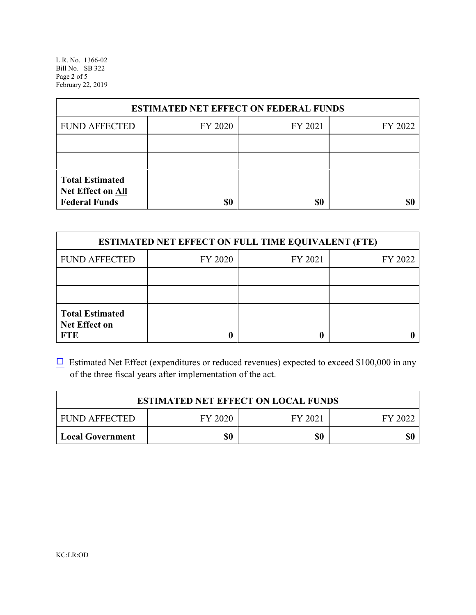L.R. No. 1366-02 Bill No. SB 322 Page 2 of 5 February 22, 2019

| <b>ESTIMATED NET EFFECT ON FEDERAL FUNDS</b>                        |         |         |         |  |
|---------------------------------------------------------------------|---------|---------|---------|--|
| <b>FUND AFFECTED</b>                                                | FY 2020 | FY 2021 | FY 2022 |  |
|                                                                     |         |         |         |  |
|                                                                     |         |         |         |  |
| <b>Total Estimated</b><br>Net Effect on All<br><b>Federal Funds</b> | \$0     | \$0     |         |  |

| <b>ESTIMATED NET EFFECT ON FULL TIME EQUIVALENT (FTE)</b>    |         |         |         |  |
|--------------------------------------------------------------|---------|---------|---------|--|
| <b>FUND AFFECTED</b>                                         | FY 2020 | FY 2021 | FY 2022 |  |
|                                                              |         |         |         |  |
|                                                              |         |         |         |  |
| <b>Total Estimated</b><br><b>Net Effect on</b><br><b>FTE</b> |         |         |         |  |

 $\Box$  Estimated Net Effect (expenditures or reduced revenues) expected to exceed \$100,000 in any of the three fiscal years after implementation of the act.

| <b>ESTIMATED NET EFFECT ON LOCAL FUNDS</b> |         |         |         |
|--------------------------------------------|---------|---------|---------|
| <b>FUND AFFECTED</b>                       | FY 2020 | FY 2021 | FY 2022 |
| <b>Local Government</b>                    | \$0     | \$0     | \$0     |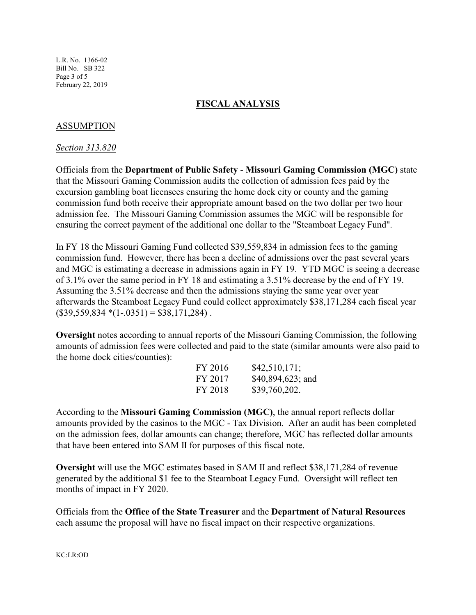L.R. No. 1366-02 Bill No. SB 322 Page 3 of 5 February 22, 2019

### **FISCAL ANALYSIS**

### ASSUMPTION

#### *Section 313.820*

Officials from the **Department of Public Safety** - **Missouri Gaming Commission (MGC)** state that the Missouri Gaming Commission audits the collection of admission fees paid by the excursion gambling boat licensees ensuring the home dock city or county and the gaming commission fund both receive their appropriate amount based on the two dollar per two hour admission fee. The Missouri Gaming Commission assumes the MGC will be responsible for ensuring the correct payment of the additional one dollar to the "Steamboat Legacy Fund".

In FY 18 the Missouri Gaming Fund collected \$39,559,834 in admission fees to the gaming commission fund. However, there has been a decline of admissions over the past several years and MGC is estimating a decrease in admissions again in FY 19. YTD MGC is seeing a decrease of 3.1% over the same period in FY 18 and estimating a 3.51% decrease by the end of FY 19. Assuming the 3.51% decrease and then the admissions staying the same year over year afterwards the Steamboat Legacy Fund could collect approximately \$38,171,284 each fiscal year  $($39,559,834*(1-.0351) = $38,171,284)$ .

**Oversight** notes according to annual reports of the Missouri Gaming Commission, the following amounts of admission fees were collected and paid to the state (similar amounts were also paid to the home dock cities/counties):

| FY 2016 | \$42,510,171;     |
|---------|-------------------|
| FY 2017 | \$40,894,623; and |
| FY 2018 | \$39,760,202.     |

According to the **Missouri Gaming Commission (MGC)**, the annual report reflects dollar amounts provided by the casinos to the MGC - Tax Division. After an audit has been completed on the admission fees, dollar amounts can change; therefore, MGC has reflected dollar amounts that have been entered into SAM II for purposes of this fiscal note.

**Oversight** will use the MGC estimates based in SAM II and reflect \$38,171,284 of revenue generated by the additional \$1 fee to the Steamboat Legacy Fund. Oversight will reflect ten months of impact in FY 2020.

Officials from the **Office of the State Treasurer** and the **Department of Natural Resources** each assume the proposal will have no fiscal impact on their respective organizations.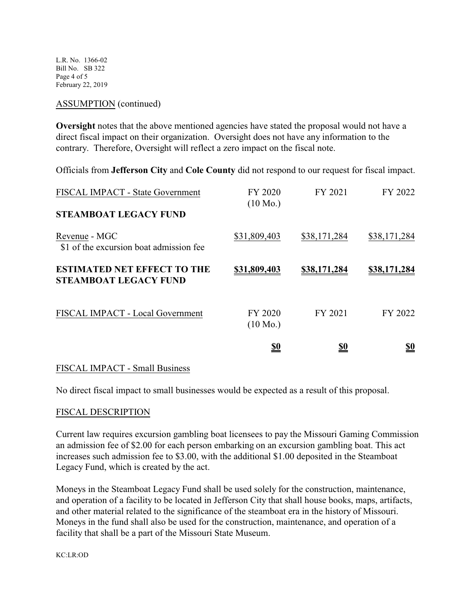L.R. No. 1366-02 Bill No. SB 322 Page 4 of 5 February 22, 2019

#### ASSUMPTION (continued)

**Oversight** notes that the above mentioned agencies have stated the proposal would not have a direct fiscal impact on their organization. Oversight does not have any information to the contrary. Therefore, Oversight will reflect a zero impact on the fiscal note.

Officials from **Jefferson City** and **Cole County** did not respond to our request for fiscal impact.

|                                                                    | <u>\$0</u>                    | <u>\$0</u>   | <u>\$0</u>   |
|--------------------------------------------------------------------|-------------------------------|--------------|--------------|
| FISCAL IMPACT - Local Government                                   | FY 2020<br>$(10 \text{ Mo.})$ | FY 2021      | FY 2022      |
| <b>ESTIMATED NET EFFECT TO THE</b><br><b>STEAMBOAT LEGACY FUND</b> | \$31,809,403                  | \$38,171,284 | \$38,171,284 |
| Revenue - MGC<br>\$1 of the excursion boat admission fee           | \$31,809,403                  | \$38,171,284 | \$38,171,284 |
| <b>STEAMBOAT LEGACY FUND</b>                                       |                               |              |              |
| <b>FISCAL IMPACT - State Government</b>                            | FY 2020<br>$(10 \text{ Mo.})$ | FY 2021      | FY 2022      |

#### FISCAL IMPACT - Small Business

No direct fiscal impact to small businesses would be expected as a result of this proposal.

#### FISCAL DESCRIPTION

Current law requires excursion gambling boat licensees to pay the Missouri Gaming Commission an admission fee of \$2.00 for each person embarking on an excursion gambling boat. This act increases such admission fee to \$3.00, with the additional \$1.00 deposited in the Steamboat Legacy Fund, which is created by the act.

Moneys in the Steamboat Legacy Fund shall be used solely for the construction, maintenance, and operation of a facility to be located in Jefferson City that shall house books, maps, artifacts, and other material related to the significance of the steamboat era in the history of Missouri. Moneys in the fund shall also be used for the construction, maintenance, and operation of a facility that shall be a part of the Missouri State Museum.